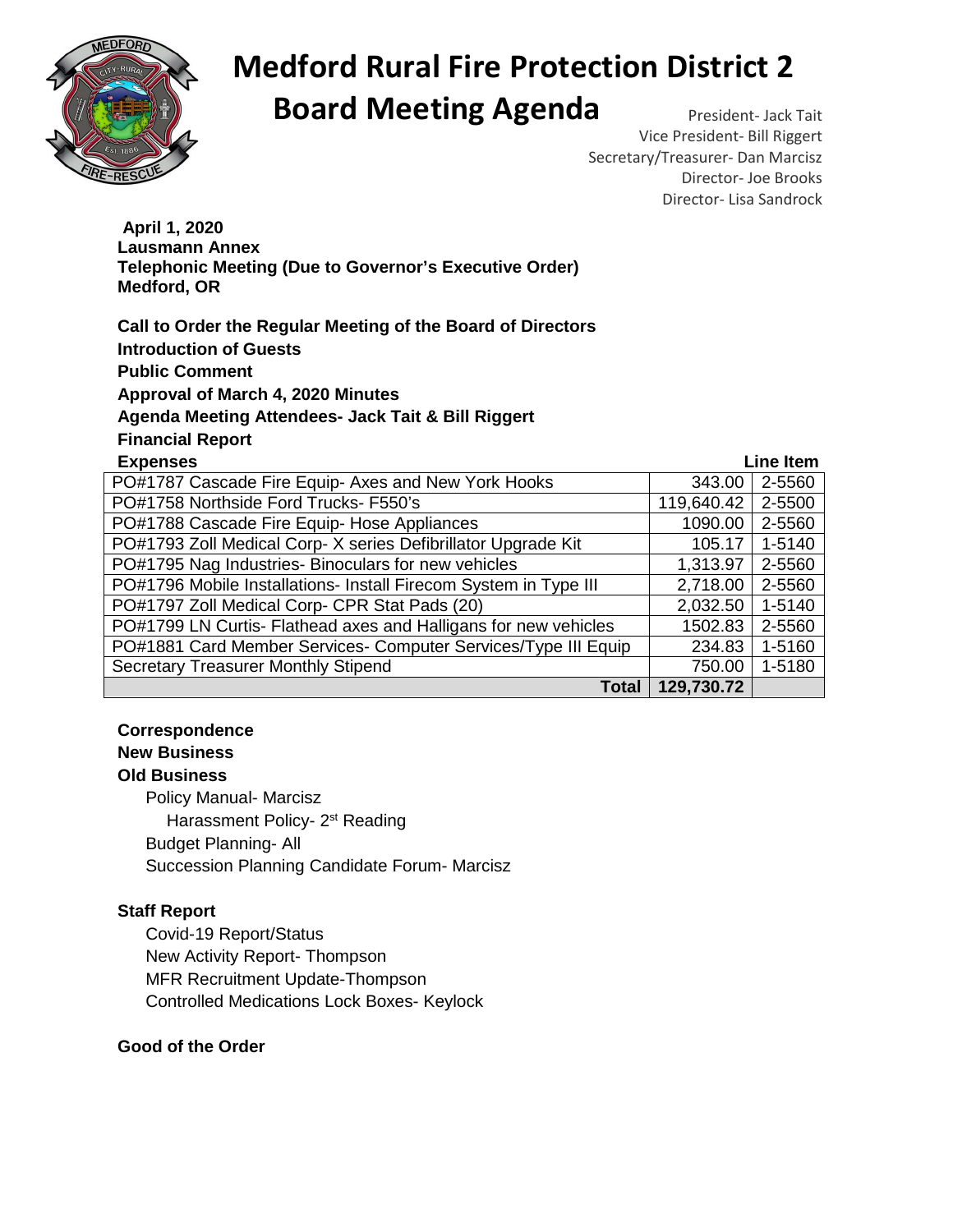

# **Medford Rural Fire Protection District 2 Board Meeting Agenda** President- Jack Tait

Vice President- Bill Riggert Secretary/Treasurer- Dan Marcisz Director- Joe Brooks Director- Lisa Sandrock

 **April 1, 2020 Lausmann Annex Telephonic Meeting (Due to Governor's Executive Order) Medford, OR** 

**Call to Order the Regular Meeting of the Board of Directors Introduction of Guests Public Comment Approval of March 4, 2020 Minutes Agenda Meeting Attendees- Jack Tait & Bill Riggert Financial Report** 

| <b>Expenses</b>                                                  |            | Line Item |
|------------------------------------------------------------------|------------|-----------|
| PO#1787 Cascade Fire Equip- Axes and New York Hooks              | 343.00     | 2-5560    |
| PO#1758 Northside Ford Trucks- F550's                            | 119,640.42 | 2-5500    |
| PO#1788 Cascade Fire Equip- Hose Appliances                      | 1090.00    | 2-5560    |
| PO#1793 Zoll Medical Corp-X series Defibrillator Upgrade Kit     | 105.17     | 1-5140    |
| PO#1795 Nag Industries- Binoculars for new vehicles              | 1,313.97   | 2-5560    |
| PO#1796 Mobile Installations- Install Firecom System in Type III | 2,718.00   | 2-5560    |
| PO#1797 Zoll Medical Corp- CPR Stat Pads (20)                    | 2,032.50   | 1-5140    |
| PO#1799 LN Curtis- Flathead axes and Halligans for new vehicles  | 1502.83    | 2-5560    |
| PO#1881 Card Member Services- Computer Services/Type III Equip   | 234.83     | 1-5160    |
| <b>Secretary Treasurer Monthly Stipend</b>                       | 750.00     | 1-5180    |
| Total                                                            | 129,730.72 |           |

# **Correspondence**

# **New Business**

### **Old Business**

Policy Manual- Marcisz **Harassment Policy- 2st Reading**  Budget Planning- All Succession Planning Candidate Forum- Marcisz

# **Staff Report**

Covid-19 Report/Status New Activity Report- Thompson MFR Recruitment Update-Thompson Controlled Medications Lock Boxes- Keylock

# **Good of the Order**